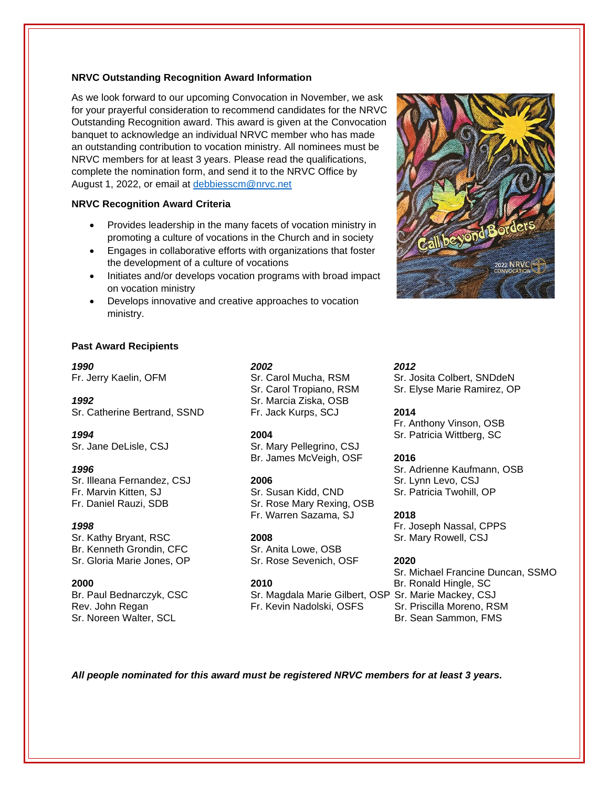## **NRVC Outstanding Recognition Award Information**

As we look forward to our upcoming Convocation in November, we ask for your prayerful consideration to recommend candidates for the NRVC Outstanding Recognition award. This award is given at the Convocation banquet to acknowledge an individual NRVC member who has made an outstanding contribution to vocation ministry. All nominees must be NRVC members for at least 3 years. Please read the qualifications, complete the nomination form, and send it to the NRVC Office by August 1, 2022, or email at [debbiesscm@nrvc.net](mailto:debbiesscm@nrvc.net)

## **NRVC Recognition Award Criteria**

- Provides leadership in the many facets of vocation ministry in promoting a culture of vocations in the Church and in society
- Engages in collaborative efforts with organizations that foster the development of a culture of vocations
- Initiates and/or develops vocation programs with broad impact on vocation ministry
- Develops innovative and creative approaches to vocation ministry.



### **Past Award Recipients**

Sr. Catherine Bertrand, SSND Fr. Jack Kurps, SCJ **2014**

Sr. Illeana Fernandez, CSJ **2006** Sr. Lynn Levo, CSJ **Press, CSS** Sr. Lynn Levo, CSJ Fr. Marvin Kitten, SJ Sr. Susan Kidd, CND Sr. Patricia Twohill, Fr. Marvin Kitten, SJ Sr. Susan Kidd, CND Sr. Patricia Twohill, OP

Sr. Kathy Bryant, RSC **2008** Sr. Mary Rowell, CSJ Br. Kenneth Grondin, CFC Sr. Anita Lowe, OSB Sr. Gloria Marie Jones, OP Sr. Rose Sevenich, OSF **2020**

Sr. Noreen Walter, SCL Br. Sean Sammon, FMS

## *1990 2002 2012*

*1992* Sr. Marcia Ziska, OSB

Sr. Jane DeLisle, CSJ Sr. Mary Pellegrino, CSJ Br. James McVeigh, OSF **2016**

Fr. Daniel Rauzi, SDB Sr. Rose Mary Rexing, OSB Fr. Warren Sazama, SJ **2018**

Br. Paul Bednarczyk, CSC Sr. Magdala Marie Gilbert, OSP Sr. Marie Mackey, CSJ Rev. John Regan Fr. Kevin Nadolski, OSFS Sr. Priscilla Moreno, RSM

Fr. Jerry Kaelin, OFM Sr. Carol Mucha, RSM Sr. Josita Colbert, SNDdeN Sr. Carol Tropiano, RSM Sr. Elyse Marie Ramirez, OP

Fr. Anthony Vinson, OSB *1994* **2004** Sr. Patricia Wittberg, SC

*1996* Sr. Adrienne Kaufmann, OSB

*1998* Fr. Joseph Nassal, CPPS

Sr. Michael Francine Duncan, SSMO **2000 2010** Br. Ronald Hingle, SC

*All people nominated for this award must be registered NRVC members for at least 3 years.*